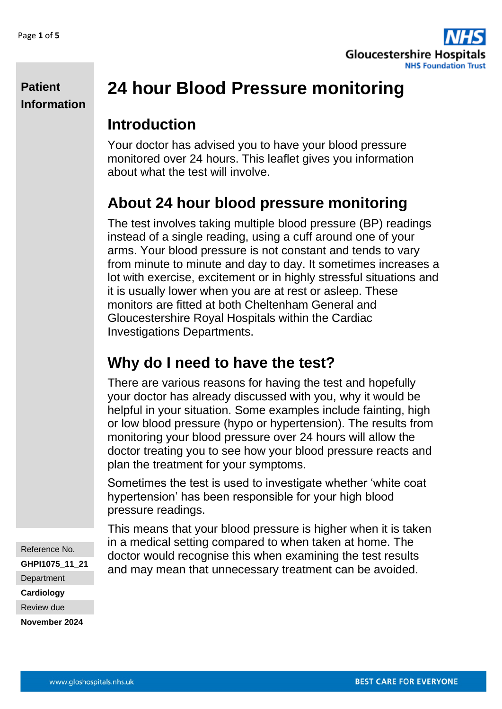**Patient** 

**Information**



# **24 hour Blood Pressure monitoring**

## **Introduction**

Your doctor has advised you to have your blood pressure monitored over 24 hours. This leaflet gives you information about what the test will involve.

# **About 24 hour blood pressure monitoring**

The test involves taking multiple blood pressure (BP) readings instead of a single reading, using a cuff around one of your arms. Your blood pressure is not constant and tends to vary from minute to minute and day to day. It sometimes increases a lot with exercise, excitement or in highly stressful situations and it is usually lower when you are at rest or asleep. These monitors are fitted at both Cheltenham General and Gloucestershire Royal Hospitals within the Cardiac Investigations Departments.

## **Why do I need to have the test?**

There are various reasons for having the test and hopefully your doctor has already discussed with you, why it would be helpful in your situation. Some examples include fainting, high or low blood pressure (hypo or hypertension). The results from monitoring your blood pressure over 24 hours will allow the doctor treating you to see how your blood pressure reacts and plan the treatment for your symptoms.

Sometimes the test is used to investigate whether 'white coat hypertension' has been responsible for your high blood pressure readings.

This means that your blood pressure is higher when it is taken in a medical setting compared to when taken at home. The doctor would recognise this when examining the test results and may mean that unnecessary treatment can be avoided.

Reference No. **GHPI1075\_11\_21 Department Cardiology** Review due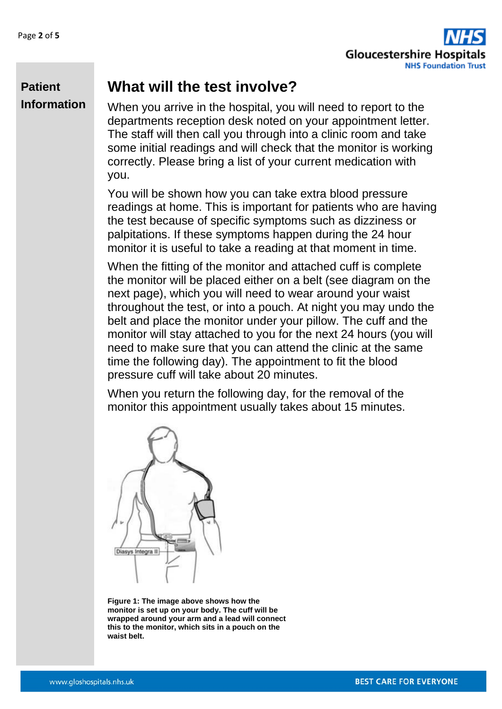

## **What will the test involve?**

**Patient Information**

When you arrive in the hospital, you will need to report to the departments reception desk noted on your appointment letter. The staff will then call you through into a clinic room and take some initial readings and will check that the monitor is working correctly. Please bring a list of your current medication with you.

You will be shown how you can take extra blood pressure readings at home. This is important for patients who are having the test because of specific symptoms such as dizziness or palpitations. If these symptoms happen during the 24 hour monitor it is useful to take a reading at that moment in time.

When the fitting of the monitor and attached cuff is complete the monitor will be placed either on a belt (see diagram on the next page), which you will need to wear around your waist throughout the test, or into a pouch. At night you may undo the belt and place the monitor under your pillow. The cuff and the monitor will stay attached to you for the next 24 hours (you will need to make sure that you can attend the clinic at the same time the following day). The appointment to fit the blood pressure cuff will take about 20 minutes.

When you return the following day, for the removal of the monitor this appointment usually takes about 15 minutes.



**Figure 1: The image above shows how the monitor is set up on your body. The cuff will be wrapped around your arm and a lead will connect this to the monitor, which sits in a pouch on the waist belt.**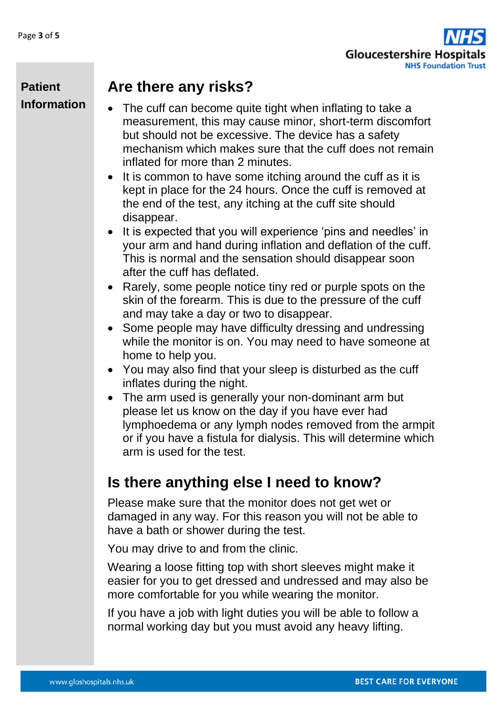

#### **Patient Information**

#### **Are there any risks?**

- The cuff can become quite tight when inflating to take a measurement, this may cause minor, short-term discomfort but should not be excessive. The device has a safety mechanism which makes sure that the cuff does not remain inflated for more than 2 minutes.
- It is common to have some itching around the cuff as it is kept in place for the 24 hours. Once the cuff is removed at the end of the test, any itching at the cuff site should disappear.
- It is expected that you will experience 'pins and needles' in your arm and hand during inflation and deflation of the cuff. This is normal and the sensation should disappear soon after the cuff has deflated.
- Rarely, some people notice tiny red or purple spots on the skin of the forearm. This is due to the pressure of the cuff and may take a day or two to disappear.
- Some people may have difficulty dressing and undressing while the monitor is on. You may need to have someone at home to help you.
- You may also find that your sleep is disturbed as the cuff inflates during the night.
- The arm used is generally your non-dominant arm but please let us know on the day if you have ever had lymphoedema or any lymph nodes removed from the armpit or if you have a fistula for dialysis. This will determine which arm is used for the test.

# **Is there anything else I need to know?**

Please make sure that the monitor does not get wet or damaged in any way. For this reason you will not be able to have a bath or shower during the test.

You may drive to and from the clinic.

Wearing a loose fitting top with short sleeves might make it easier for you to get dressed and undressed and may also be more comfortable for you while wearing the monitor.

If you have a job with light duties you will be able to follow a normal working day but you must avoid any heavy lifting.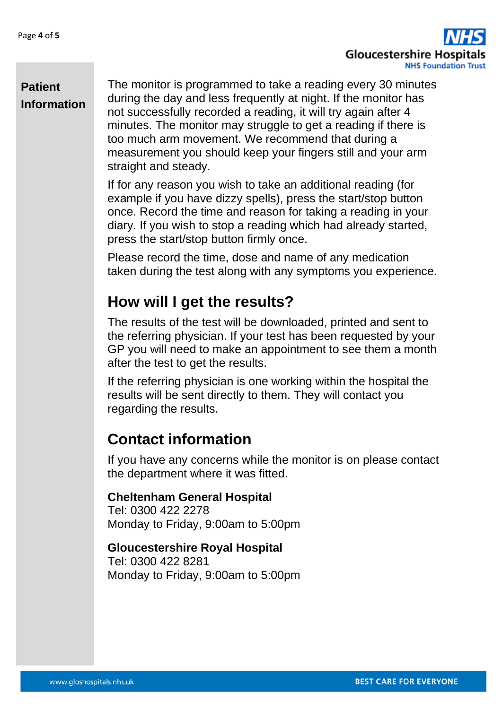

#### **Patient Information**

The monitor is programmed to take a reading every 30 minutes during the day and less frequently at night. If the monitor has not successfully recorded a reading, it will try again after 4 minutes. The monitor may struggle to get a reading if there is too much arm movement. We recommend that during a measurement you should keep your fingers still and your arm straight and steady.

If for any reason you wish to take an additional reading (for example if you have dizzy spells), press the start/stop button once. Record the time and reason for taking a reading in your diary. If you wish to stop a reading which had already started, press the start/stop button firmly once.

Please record the time, dose and name of any medication taken during the test along with any symptoms you experience.

## **How will I get the results?**

The results of the test will be downloaded, printed and sent to the referring physician. If your test has been requested by your GP you will need to make an appointment to see them a month after the test to get the results.

If the referring physician is one working within the hospital the results will be sent directly to them. They will contact you regarding the results.

## **Contact information**

If you have any concerns while the monitor is on please contact the department where it was fitted.

#### **Cheltenham General Hospital**

Tel: 0300 422 2278 Monday to Friday, 9:00am to 5:00pm

#### **Gloucestershire Royal Hospital**

Tel: 0300 422 8281 Monday to Friday, 9:00am to 5:00pm